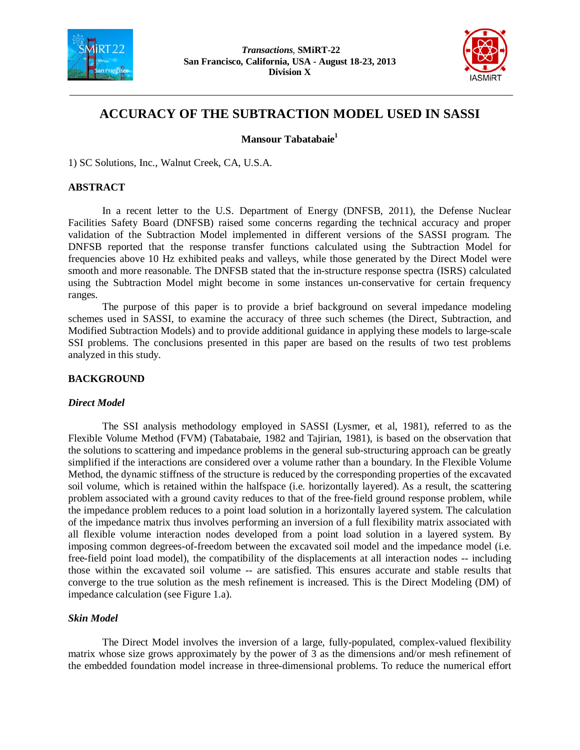



# **ACCURACY OF THE SUBTRACTION MODEL USED IN SASSI**

**Mansour Tabatabaie1**

1) SC Solutions, Inc., Walnut Creek, CA, U.S.A.

### **ABSTRACT**

In a recent letter to the U.S. Department of Energy (DNFSB, 2011), the Defense Nuclear Facilities Safety Board (DNFSB) raised some concerns regarding the technical accuracy and proper validation of the Subtraction Model implemented in different versions of the SASSI program. The DNFSB reported that the response transfer functions calculated using the Subtraction Model for frequencies above 10 Hz exhibited peaks and valleys, while those generated by the Direct Model were smooth and more reasonable. The DNFSB stated that the in-structure response spectra (ISRS) calculated using the Subtraction Model might become in some instances un-conservative for certain frequency ranges.

The purpose of this paper is to provide a brief background on several impedance modeling schemes used in SASSI, to examine the accuracy of three such schemes (the Direct, Subtraction, and Modified Subtraction Models) and to provide additional guidance in applying these models to large-scale SSI problems. The conclusions presented in this paper are based on the results of two test problems analyzed in this study.

# **BACKGROUND**

# *Direct Model*

The SSI analysis methodology employed in SASSI (Lysmer, et al, 1981), referred to as the Flexible Volume Method (FVM) (Tabatabaie, 1982 and Tajirian, 1981), is based on the observation that the solutions to scattering and impedance problems in the general sub-structuring approach can be greatly simplified if the interactions are considered over a volume rather than a boundary. In the Flexible Volume Method, the dynamic stiffness of the structure is reduced by the corresponding properties of the excavated soil volume, which is retained within the halfspace (i.e. horizontally layered). As a result, the scattering problem associated with a ground cavity reduces to that of the free-field ground response problem, while the impedance problem reduces to a point load solution in a horizontally layered system. The calculation of the impedance matrix thus involves performing an inversion of a full flexibility matrix associated with all flexible volume interaction nodes developed from a point load solution in a layered system. By imposing common degrees-of-freedom between the excavated soil model and the impedance model (i.e. free-field point load model), the compatibility of the displacements at all interaction nodes -- including those within the excavated soil volume -- are satisfied. This ensures accurate and stable results that converge to the true solution as the mesh refinement is increased. This is the Direct Modeling (DM) of impedance calculation (see Figure 1.a).

# *Skin Model*

The Direct Model involves the inversion of a large, fully-populated, complex-valued flexibility matrix whose size grows approximately by the power of 3 as the dimensions and/or mesh refinement of the embedded foundation model increase in three-dimensional problems. To reduce the numerical effort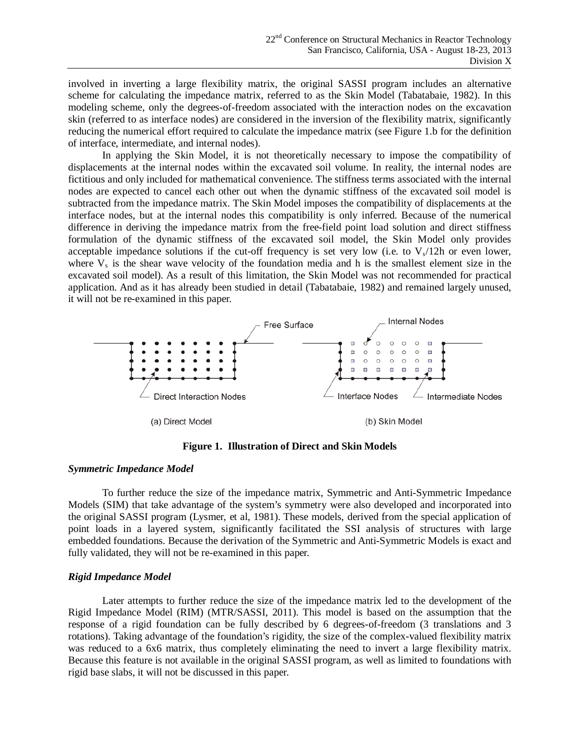involved in inverting a large flexibility matrix, the original SASSI program includes an alternative scheme for calculating the impedance matrix, referred to as the Skin Model (Tabatabaie, 1982). In this modeling scheme, only the degrees-of-freedom associated with the interaction nodes on the excavation skin (referred to as interface nodes) are considered in the inversion of the flexibility matrix, significantly reducing the numerical effort required to calculate the impedance matrix (see Figure 1.b for the definition of interface, intermediate, and internal nodes).

In applying the Skin Model, it is not theoretically necessary to impose the compatibility of displacements at the internal nodes within the excavated soil volume. In reality, the internal nodes are fictitious and only included for mathematical convenience. The stiffness terms associated with the internal nodes are expected to cancel each other out when the dynamic stiffness of the excavated soil model is subtracted from the impedance matrix. The Skin Model imposes the compatibility of displacements at the interface nodes, but at the internal nodes this compatibility is only inferred. Because of the numerical difference in deriving the impedance matrix from the free-field point load solution and direct stiffness formulation of the dynamic stiffness of the excavated soil model, the Skin Model only provides acceptable impedance solutions if the cut-off frequency is set very low (i.e. to  $V_s/12h$  or even lower, where  $V_s$  is the shear wave velocity of the foundation media and h is the smallest element size in the excavated soil model). As a result of this limitation, the Skin Model was not recommended for practical application. And as it has already been studied in detail (Tabatabaie, 1982) and remained largely unused, it will not be re-examined in this paper.



**Figure 1. Illustration of Direct and Skin Models**

## *Symmetric Impedance Model*

To further reduce the size of the impedance matrix, Symmetric and Anti-Symmetric Impedance Models (SIM) that take advantage of the system's symmetry were also developed and incorporated into the original SASSI program (Lysmer, et al, 1981). These models, derived from the special application of point loads in a layered system, significantly facilitated the SSI analysis of structures with large embedded foundations. Because the derivation of the Symmetric and Anti-Symmetric Models is exact and fully validated, they will not be re-examined in this paper.

#### *Rigid Impedance Model*

Later attempts to further reduce the size of the impedance matrix led to the development of the Rigid Impedance Model (RIM) (MTR/SASSI, 2011). This model is based on the assumption that the response of a rigid foundation can be fully described by 6 degrees-of-freedom (3 translations and 3 rotations). Taking advantage of the foundation's rigidity, the size of the complex-valued flexibility matrix was reduced to a 6x6 matrix, thus completely eliminating the need to invert a large flexibility matrix. Because this feature is not available in the original SASSI program, as well as limited to foundations with rigid base slabs, it will not be discussed in this paper.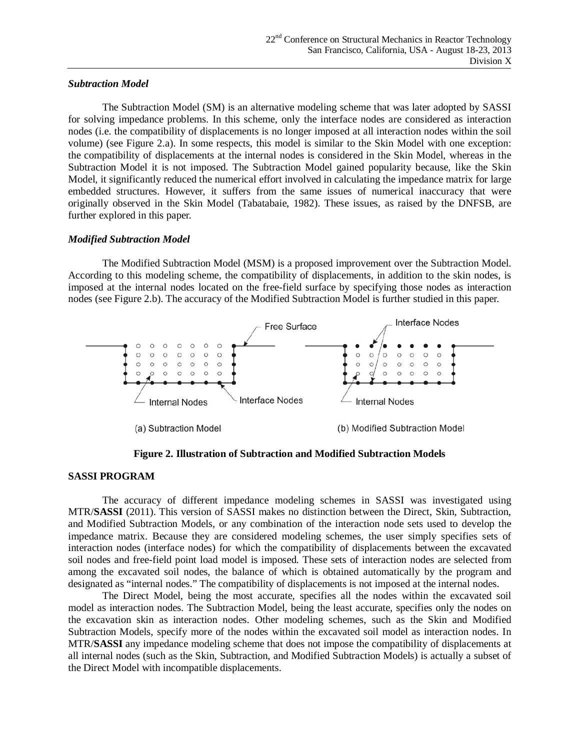## *Subtraction Model*

The Subtraction Model (SM) is an alternative modeling scheme that was later adopted by SASSI for solving impedance problems. In this scheme, only the interface nodes are considered as interaction nodes (i.e. the compatibility of displacements is no longer imposed at all interaction nodes within the soil volume) (see Figure 2.a). In some respects, this model is similar to the Skin Model with one exception: the compatibility of displacements at the internal nodes is considered in the Skin Model, whereas in the Subtraction Model it is not imposed. The Subtraction Model gained popularity because, like the Skin Model, it significantly reduced the numerical effort involved in calculating the impedance matrix for large embedded structures. However, it suffers from the same issues of numerical inaccuracy that were originally observed in the Skin Model (Tabatabaie, 1982). These issues, as raised by the DNFSB, are further explored in this paper.

### *Modified Subtraction Model*

The Modified Subtraction Model (MSM) is a proposed improvement over the Subtraction Model. According to this modeling scheme, the compatibility of displacements, in addition to the skin nodes, is imposed at the internal nodes located on the free-field surface by specifying those nodes as interaction nodes (see Figure 2.b). The accuracy of the Modified Subtraction Model is further studied in this paper.



**Figure 2. Illustration of Subtraction and Modified Subtraction Models**

# **SASSI PROGRAM**

The accuracy of different impedance modeling schemes in SASSI was investigated using MTR/**SASSI** (2011). This version of SASSI makes no distinction between the Direct, Skin, Subtraction, and Modified Subtraction Models, or any combination of the interaction node sets used to develop the impedance matrix. Because they are considered modeling schemes, the user simply specifies sets of interaction nodes (interface nodes) for which the compatibility of displacements between the excavated soil nodes and free-field point load model is imposed. These sets of interaction nodes are selected from among the excavated soil nodes, the balance of which is obtained automatically by the program and designated as "internal nodes." The compatibility of displacements is not imposed at the internal nodes.

The Direct Model, being the most accurate, specifies all the nodes within the excavated soil model as interaction nodes. The Subtraction Model, being the least accurate, specifies only the nodes on the excavation skin as interaction nodes. Other modeling schemes, such as the Skin and Modified Subtraction Models, specify more of the nodes within the excavated soil model as interaction nodes. In MTR/**SASSI** any impedance modeling scheme that does not impose the compatibility of displacements at all internal nodes (such as the Skin, Subtraction, and Modified Subtraction Models) is actually a subset of the Direct Model with incompatible displacements.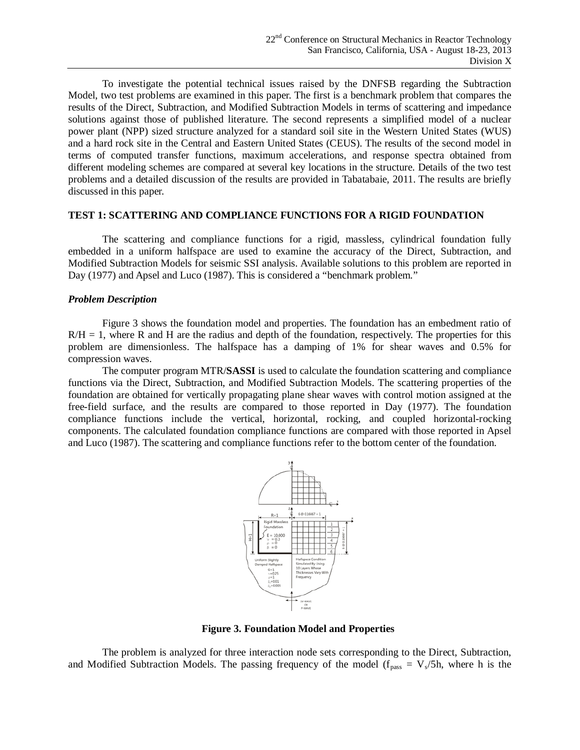To investigate the potential technical issues raised by the DNFSB regarding the Subtraction Model, two test problems are examined in this paper. The first is a benchmark problem that compares the results of the Direct, Subtraction, and Modified Subtraction Models in terms of scattering and impedance solutions against those of published literature. The second represents a simplified model of a nuclear power plant (NPP) sized structure analyzed for a standard soil site in the Western United States (WUS) and a hard rock site in the Central and Eastern United States (CEUS). The results of the second model in terms of computed transfer functions, maximum accelerations, and response spectra obtained from different modeling schemes are compared at several key locations in the structure. Details of the two test problems and a detailed discussion of the results are provided in Tabatabaie, 2011. The results are briefly discussed in this paper.

## **TEST 1: SCATTERING AND COMPLIANCE FUNCTIONS FOR A RIGID FOUNDATION**

The scattering and compliance functions for a rigid, massless, cylindrical foundation fully embedded in a uniform halfspace are used to examine the accuracy of the Direct, Subtraction, and Modified Subtraction Models for seismic SSI analysis. Available solutions to this problem are reported in Day (1977) and Apsel and Luco (1987). This is considered a "benchmark problem."

#### *Problem Description*

Figure 3 shows the foundation model and properties. The foundation has an embedment ratio of  $R/H = 1$ , where R and H are the radius and depth of the foundation, respectively. The properties for this problem are dimensionless. The halfspace has a damping of 1% for shear waves and 0.5% for compression waves.

The computer program MTR/**SASSI** is used to calculate the foundation scattering and compliance functions via the Direct, Subtraction, and Modified Subtraction Models. The scattering properties of the foundation are obtained for vertically propagating plane shear waves with control motion assigned at the free-field surface, and the results are compared to those reported in Day (1977). The foundation compliance functions include the vertical, horizontal, rocking, and coupled horizontal-rocking components. The calculated foundation compliance functions are compared with those reported in Apsel and Luco (1987). The scattering and compliance functions refer to the bottom center of the foundation.



**Figure 3. Foundation Model and Properties**

The problem is analyzed for three interaction node sets corresponding to the Direct, Subtraction, and Modified Subtraction Models. The passing frequency of the model ( $f_{pass} = V_s/5h$ , where h is the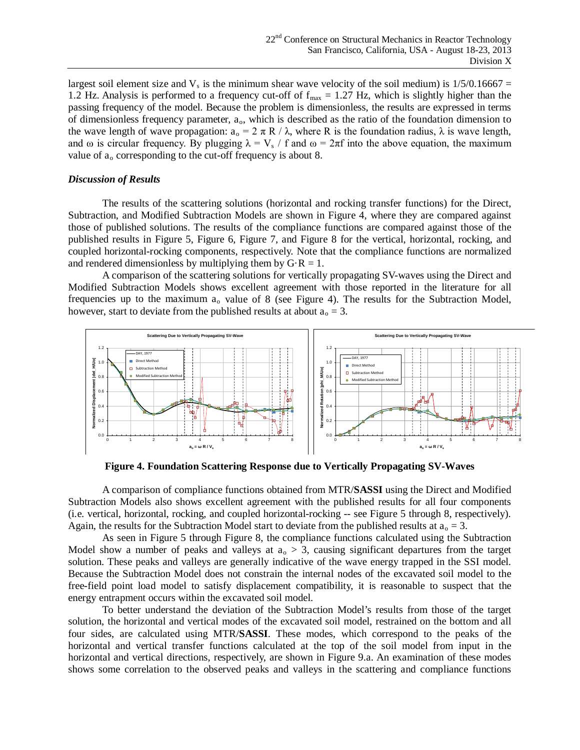largest soil element size and  $V_s$  is the minimum shear wave velocity of the soil medium) is  $1/5/0.16667 =$ 1.2 Hz. Analysis is performed to a frequency cut-off of  $f_{\text{max}} = 1.27$  Hz, which is slightly higher than the passing frequency of the model. Because the problem is dimensionless, the results are expressed in terms of dimensionless frequency parameter, ao, which is described as the ratio of the foundation dimension to the wave length of wave propagation:  $a_0 = 2 \pi R / \lambda$ , where R is the foundation radius,  $\lambda$  is wave length, and  $\omega$  is circular frequency. By plugging  $\lambda = V_s / f$  and  $\omega = 2\pi f$  into the above equation, the maximum value of  $a_0$  corresponding to the cut-off frequency is about 8.

#### *Discussion of Results*

The results of the scattering solutions (horizontal and rocking transfer functions) for the Direct, Subtraction, and Modified Subtraction Models are shown in Figure 4, where they are compared against those of published solutions. The results of the compliance functions are compared against those of the published results in Figure 5, Figure 6, Figure 7, and Figure 8 for the vertical, horizontal, rocking, and coupled horizontal-rocking components, respectively. Note that the compliance functions are normalized and rendered dimensionless by multiplying them by  $G \cdot R = 1$ .

A comparison of the scattering solutions for vertically propagating SV-waves using the Direct and Modified Subtraction Models shows excellent agreement with those reported in the literature for all frequencies up to the maximum  $a_0$  value of 8 (see Figure 4). The results for the Subtraction Model, however, start to deviate from the published results at about  $a_0 = 3$ .



**Figure 4. Foundation Scattering Response due to Vertically Propagating SV-Waves**

A comparison of compliance functions obtained from MTR/**SASSI** using the Direct and Modified Subtraction Models also shows excellent agreement with the published results for all four components (i.e. vertical, horizontal, rocking, and coupled horizontal-rocking -- see Figure 5 through 8, respectively). Again, the results for the Subtraction Model start to deviate from the published results at  $a_0 = 3$ .

As seen in Figure 5 through Figure 8, the compliance functions calculated using the Subtraction Model show a number of peaks and valleys at  $a_0 > 3$ , causing significant departures from the target solution. These peaks and valleys are generally indicative of the wave energy trapped in the SSI model. Because the Subtraction Model does not constrain the internal nodes of the excavated soil model to the free-field point load model to satisfy displacement compatibility, it is reasonable to suspect that the energy entrapment occurs within the excavated soil model.

To better understand the deviation of the Subtraction Model's results from those of the target solution, the horizontal and vertical modes of the excavated soil model, restrained on the bottom and all four sides, are calculated using MTR/**SASSI**. These modes, which correspond to the peaks of the horizontal and vertical transfer functions calculated at the top of the soil model from input in the horizontal and vertical directions, respectively, are shown in Figure 9.a. An examination of these modes shows some correlation to the observed peaks and valleys in the scattering and compliance functions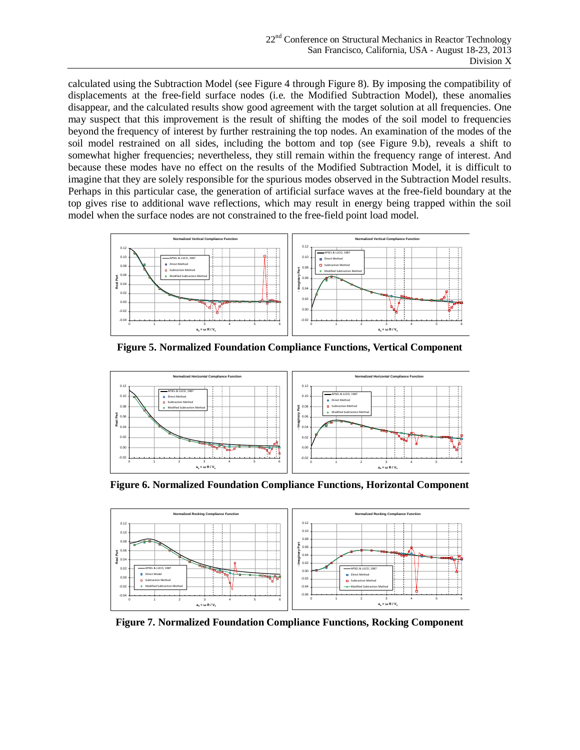calculated using the Subtraction Model (see Figure 4 through Figure 8). By imposing the compatibility of displacements at the free-field surface nodes (i.e. the Modified Subtraction Model), these anomalies disappear, and the calculated results show good agreement with the target solution at all frequencies. One may suspect that this improvement is the result of shifting the modes of the soil model to frequencies beyond the frequency of interest by further restraining the top nodes. An examination of the modes of the soil model restrained on all sides, including the bottom and top (see Figure 9.b), reveals a shift to somewhat higher frequencies; nevertheless, they still remain within the frequency range of interest. And because these modes have no effect on the results of the Modified Subtraction Model, it is difficult to imagine that they are solely responsible for the spurious modes observed in the Subtraction Model results. Perhaps in this particular case, the generation of artificial surface waves at the free-field boundary at the top gives rise to additional wave reflections, which may result in energy being trapped within the soil model when the surface nodes are not constrained to the free-field point load model.



**Figure 5. Normalized Foundation Compliance Functions, Vertical Component**



**Figure 6. Normalized Foundation Compliance Functions, Horizontal Component**



**Figure 7. Normalized Foundation Compliance Functions, Rocking Component**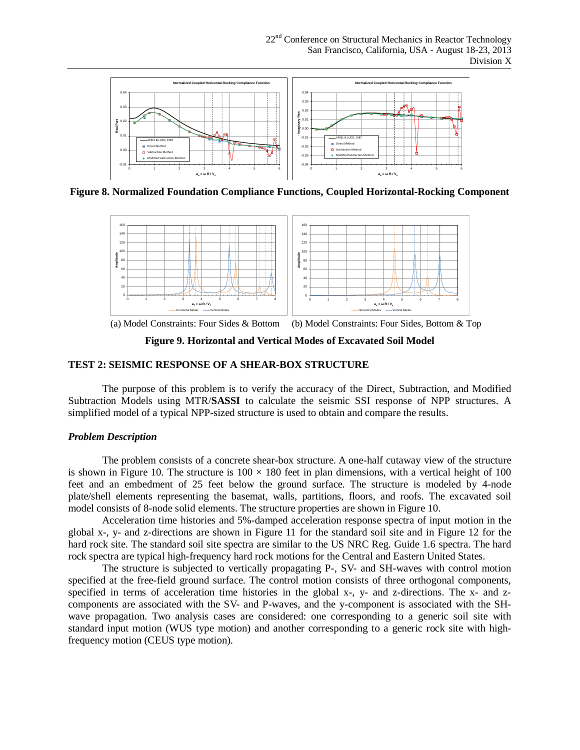

**Figure 8. Normalized Foundation Compliance Functions, Coupled Horizontal-Rocking Component**



(a) Model Constraints: Four Sides & Bottom (b) Model Constraints: Four Sides, Bottom & Top

**Figure 9. Horizontal and Vertical Modes of Excavated Soil Model**

# **TEST 2: SEISMIC RESPONSE OF A SHEAR-BOX STRUCTURE**

The purpose of this problem is to verify the accuracy of the Direct, Subtraction, and Modified Subtraction Models using MTR/**SASSI** to calculate the seismic SSI response of NPP structures. A simplified model of a typical NPP-sized structure is used to obtain and compare the results.

# *Problem Description*

The problem consists of a concrete shear-box structure. A one-half cutaway view of the structure is shown in Figure 10. The structure is  $100 \times 180$  feet in plan dimensions, with a vertical height of 100 feet and an embedment of 25 feet below the ground surface. The structure is modeled by 4-node plate/shell elements representing the basemat, walls, partitions, floors, and roofs. The excavated soil model consists of 8-node solid elements. The structure properties are shown in Figure 10.

Acceleration time histories and 5%-damped acceleration response spectra of input motion in the global x-, y- and z-directions are shown in Figure 11 for the standard soil site and in Figure 12 for the hard rock site. The standard soil site spectra are similar to the US NRC Reg. Guide 1.6 spectra. The hard rock spectra are typical high-frequency hard rock motions for the Central and Eastern United States.

The structure is subjected to vertically propagating P-, SV- and SH-waves with control motion specified at the free-field ground surface. The control motion consists of three orthogonal components, specified in terms of acceleration time histories in the global x-, y- and z-directions. The x- and zcomponents are associated with the SV- and P-waves, and the y-component is associated with the SHwave propagation. Two analysis cases are considered: one corresponding to a generic soil site with standard input motion (WUS type motion) and another corresponding to a generic rock site with highfrequency motion (CEUS type motion).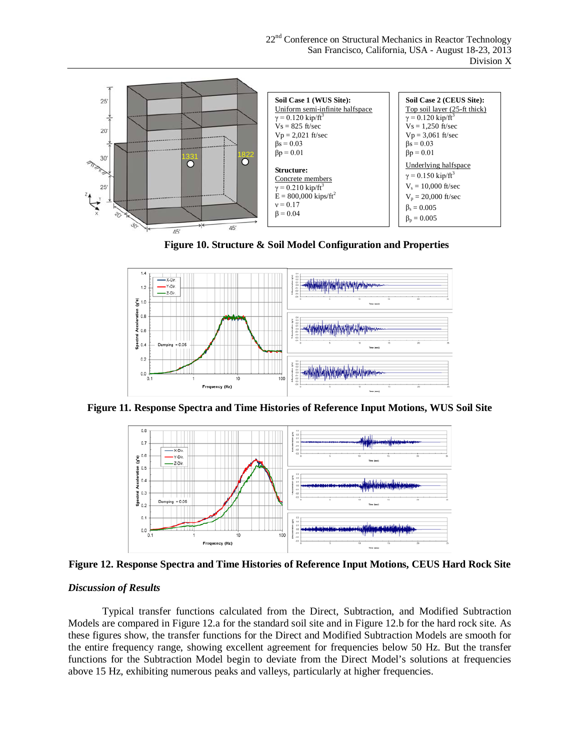





**Figure 11. Response Spectra and Time Histories of Reference Input Motions, WUS Soil Site**



**Figure 12. Response Spectra and Time Histories of Reference Input Motions, CEUS Hard Rock Site**

#### *Discussion of Results*

Typical transfer functions calculated from the Direct, Subtraction, and Modified Subtraction Models are compared in Figure 12.a for the standard soil site and in Figure 12.b for the hard rock site. As these figures show, the transfer functions for the Direct and Modified Subtraction Models are smooth for the entire frequency range, showing excellent agreement for frequencies below 50 Hz. But the transfer functions for the Subtraction Model begin to deviate from the Direct Model's solutions at frequencies above 15 Hz, exhibiting numerous peaks and valleys, particularly at higher frequencies.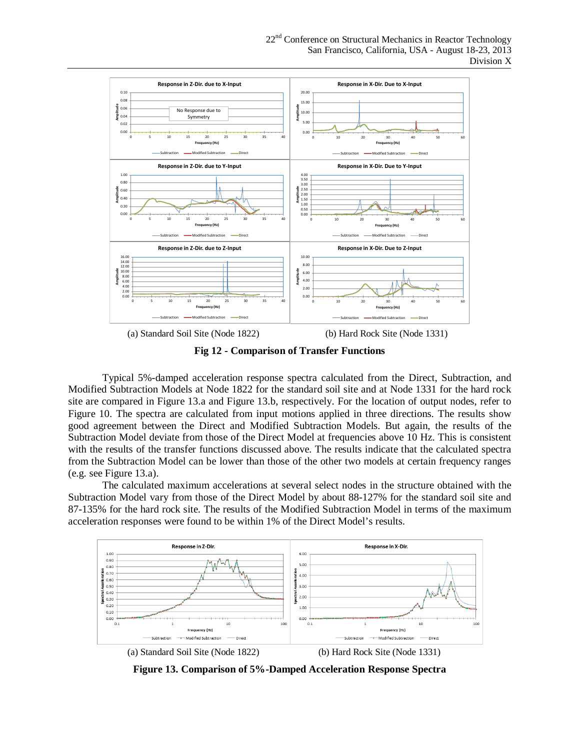

**Fig 12 - Comparison of Transfer Functions**

Typical 5%-damped acceleration response spectra calculated from the Direct, Subtraction, and Modified Subtraction Models at Node 1822 for the standard soil site and at Node 1331 for the hard rock site are compared in Figure 13.a and Figure 13.b, respectively. For the location of output nodes, refer to Figure 10. The spectra are calculated from input motions applied in three directions. The results show good agreement between the Direct and Modified Subtraction Models. But again, the results of the Subtraction Model deviate from those of the Direct Model at frequencies above 10 Hz. This is consistent with the results of the transfer functions discussed above. The results indicate that the calculated spectra from the Subtraction Model can be lower than those of the other two models at certain frequency ranges (e.g. see Figure 13.a).

The calculated maximum accelerations at several select nodes in the structure obtained with the Subtraction Model vary from those of the Direct Model by about 88-127% for the standard soil site and 87-135% for the hard rock site. The results of the Modified Subtraction Model in terms of the maximum acceleration responses were found to be within 1% of the Direct Model's results.



**Figure 13. Comparison of 5%-Damped Acceleration Response Spectra**